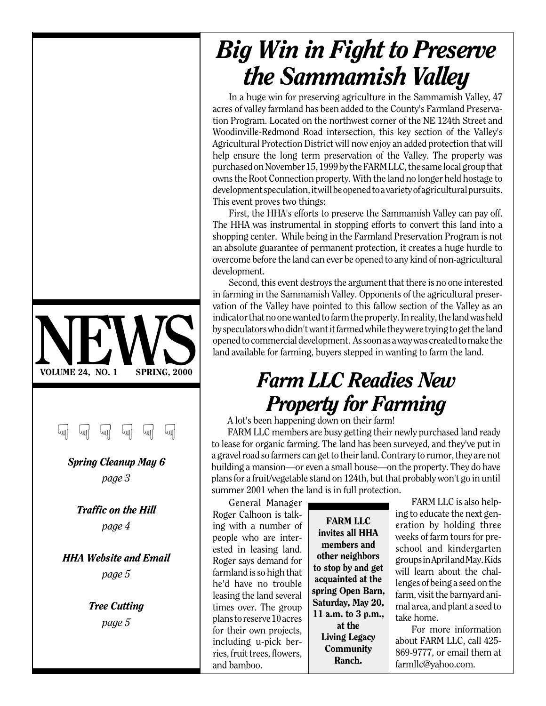### VOLUME 24, NO. 1 SPRING, 2000 VOLUME 24, NO. 1 SPRING, 2000 ☞ ☞ ☞ ☞ ☞ ☞

*Spring Cleanup May 6 page 3*

*Traffic on the Hill page 4*

*HHA Website and Email page 5*

> *Tree Cutting page 5*

## *Big Win in Fight to Preserve the Sammamish Valley*

In a huge win for preserving agriculture in the Sammamish Valley, 47 acres of valley farmland has been added to the County's Farmland Preservation Program. Located on the northwest corner of the NE 124th Street and Woodinville-Redmond Road intersection, this key section of the Valley's Agricultural Protection District will now enjoy an added protection that will help ensure the long term preservation of the Valley. The property was purchased on November 15, 1999 by the FARM LLC, the same local group that owns the Root Connection property. With the land no longer held hostage to development speculation, it will be opened to a variety of agricultural pursuits. This event proves two things:

First, the HHA's efforts to preserve the Sammamish Valley can pay off. The HHA was instrumental in stopping efforts to convert this land into a shopping center. While being in the Farmland Preservation Program is not an absolute guarantee of permanent protection, it creates a huge hurdle to overcome before the land can ever be opened to any kind of non-agricultural development.

Second, this event destroys the argument that there is no one interested in farming in the Sammamish Valley. Opponents of the agricultural preservation of the Valley have pointed to this fallow section of the Valley as an indicator that no one wanted to farm the property. In reality, the land was held by speculators who didn't want it farmed while they were trying to get the land opened to commercial development. As soon as a way was created to make the land available for farming, buyers stepped in wanting to farm the land.

## *Farm LLC Readies New Property for Farming*

A lot's been happening down on their farm!

FARM LLC members are busy getting their newly purchased land ready to lease for organic farming. The land has been surveyed, and they've put in a gravel road so farmers can get to their land. Contrary to rumor, they are not building a mansion—or even a small house—on the property. They do have plans for a fruit/vegetable stand on 124th, but that probably won't go in until summer 2001 when the land is in full protection.

General Manager Roger Calhoon is talking with a number of people who are interested in leasing land. Roger says demand for farmland is so high that he'd have no trouble leasing the land several times over. The group plans to reserve 10 acres for their own projects, including u-pick berries, fruit trees, flowers, and bamboo.

FARM LLC invites all HHA members and other neighbors to stop by and get acquainted at the spring Open Barn, Saturday, May 20, 11 a.m. to 3 p.m., at the Living Legacy **Community** Ranch.

FARM LLC is also helping to educate the next generation by holding three weeks of farm tours for preschool and kindergarten groups in April and May. Kids will learn about the challenges of being a seed on the farm, visit the barnyard animal area, and plant a seed to take home.

For more information about FARM LLC, call 425- 869-9777, or email them at farmllc@yahoo.com.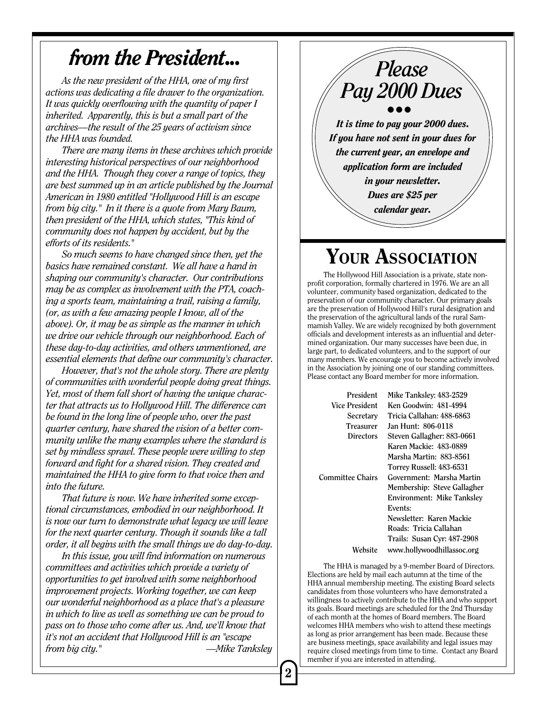## *from the President...*

*As the new president of the HHA, one of my first actions was dedicating a file drawer to the organization. It was quickly overflowing with the quantity of paper I inherited. Apparently, this is but a small part of the archives—the result of the 25 years of activism since the HHA was founded.*

*There are many items in these archives which provide interesting historical perspectives of our neighborhood and the HHA. Though they cover a range of topics, they are best summed up in an article published by the Journal American in 1980 entitled "Hollywood Hill is an escape from big city." In it there is a quote from Mary Baum, then president of the HHA, which states, "This kind of community does not happen by accident, but by the efforts of its residents."*

*So much seems to have changed since then, yet the basics have remained constant. We all have a hand in shaping our community's character. Our contributions may be as complex as involvement with the PTA, coaching a sports team, maintaining a trail, raising a family, (or, as with a few amazing people I know, all of the above). Or, it may be as simple as the manner in which we drive our vehicle through our neighborhood. Each of these day-to-day activities, and others unmentioned, are essential elements that define our community's character.*

*However, that's not the whole story. There are plenty of communities with wonderful people doing great things. Yet, most of them fall short of having the unique character that attracts us to Hollywood Hill. The difference can be found in the long line of people who, over the past quarter century, have shared the vision of a better community unlike the many examples where the standard is set by mindless sprawl. These people were willing to step forward and fight for a shared vision. They created and maintained the HHA to give form to that voice then and into the future.*

*That future is now. We have inherited some exceptional circumstances, embodied in our neighborhood. It is now our turn to demonstrate what legacy we will leave for the next quarter century. Though it sounds like a tall order, it all begins with the small things we do day-to-day.*

*In this issue, you will find information on numerous committees and activities which provide a variety of opportunities to get involved with some neighborhood improvement projects. Working together, we can keep our wonderful neighborhood as a place that's a pleasure in which to live as well as something we can be proud to pass on to those who come after us. And, we'll know that it's not an accident that Hollywood Hill is an "escape from big city." —Mike Tanksley*



## YOUR ASSOCIATION

The Hollywood Hill Association is a private, state nonprofit corporation, formally chartered in 1976. We are an all volunteer, community based organization, dedicated to the preservation of our community character. Our primary goals are the preservation of Hollywood Hill's rural designation and the preservation of the agricultural lands of the rural Sammamish Valley. We are widely recognized by both government officials and development interests as an influential and determined organization. Our many successes have been due, in large part, to dedicated volunteers, and to the support of our many members. We encourage you to become actively involved in the Association by joining one of our standing committees. Please contact any Board member for more information.

| President               | Mike Tanksley: 483-2529     |
|-------------------------|-----------------------------|
| Vice President          | Ken Goodwin: 481-4994       |
| Secretary               | Tricia Callahan: 488-6863   |
| Treasurer               | Jan Hunt: 806-0118          |
| <b>Directors</b>        | Steven Gallagher: 883-0661  |
|                         | Karen Mackie: 483-0889      |
|                         | Marsha Martin: 883-8561     |
|                         | Torrey Russell: 483-6531    |
| <b>Committee Chairs</b> | Government: Marsha Martin   |
|                         | Membership: Steve Gallagher |
|                         | Environment: Mike Tanksley  |
|                         | Events:                     |
|                         | Newsletter: Karen Mackie    |
|                         | Roads: Tricia Callahan      |
|                         | Trails: Susan Cyr: 487-2908 |
| Website                 | www.hollywoodhillassoc.org  |

The HHA is managed by a 9-member Board of Directors. Elections are held by mail each autumn at the time of the HHA annual membership meeting. The existing Board selects candidates from those volunteers who have demonstrated a willingness to actively contribute to the HHA and who support its goals. Board meetings are scheduled for the 2nd Thursday of each month at the homes of Board members. The Board welcomes HHA members who wish to attend these meetings as long as prior arrangement has been made. Because these are business meetings, space availability and legal issues may require closed meetings from time to time. Contact any Board member if you are interested in attending.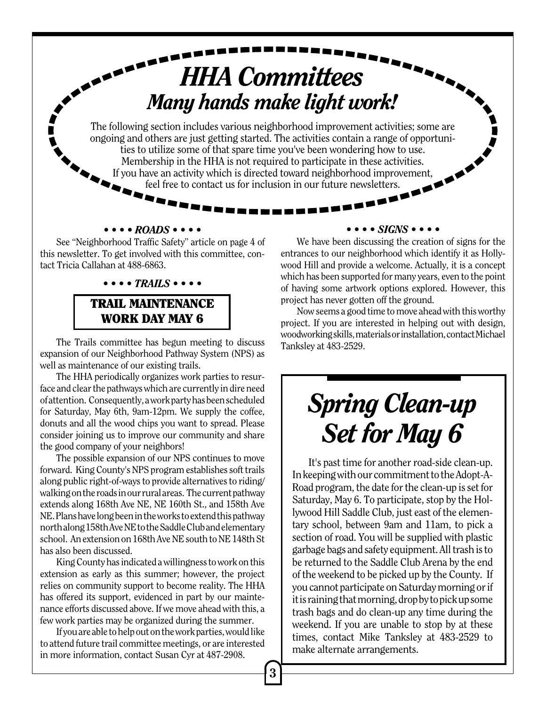# *HHA Committees Many hands make light work!*

The following section includes various neighborhood improvement activities; some are ongoing and others are just getting started. The activities contain a range of opportunities to utilize some of that spare time you've been wondering how to use. Membership in the HHA is not required to participate in these activities. If you have an activity which is directed toward neighborhood improvement, feel free to contact us for inclusion in our future newsletters.

### *•••• ROADS ••••*

See "Neighborhood Traffic Safety" article on page 4 of this newsletter. To get involved with this committee, contact Tricia Callahan at 488-6863.

### *•••• TRAILS ••••*

### TRAIL MAINTENANCE WORK DAY MAY 6

The Trails committee has begun meeting to discuss expansion of our Neighborhood Pathway System (NPS) as well as maintenance of our existing trails.

The HHA periodically organizes work parties to resurface and clear the pathways which are currently in dire need of attention. Consequently, a work party has been scheduled for Saturday, May 6th, 9am-12pm. We supply the coffee, donuts and all the wood chips you want to spread. Please consider joining us to improve our community and share the good company of your neighbors!

The possible expansion of our NPS continues to move forward. King County's NPS program establishes soft trails along public right-of-ways to provide alternatives to riding/ walking on the roads in our rural areas. The current pathway extends along 168th Ave NE, NE 160th St., and 158th Ave NE. Plans have long been in the works to extend this pathway north along 158th Ave NE to the Saddle Club and elementary school. An extension on 168th Ave NE south to NE 148th St has also been discussed.

King County has indicated a willingness to work on this extension as early as this summer; however, the project relies on community support to become reality. The HHA has offered its support, evidenced in part by our maintenance efforts discussed above. If we move ahead with this, a few work parties may be organized during the summer.

If you are able to help out on the work parties, would like to attend future trail committee meetings, or are interested in more information, contact Susan Cyr at 487-2908.

#### *•••• SIGNS ••••*

We have been discussing the creation of signs for the entrances to our neighborhood which identify it as Hollywood Hill and provide a welcome. Actually, it is a concept which has been supported for many years, even to the point of having some artwork options explored. However, this project has never gotten off the ground.

Now seems a good time to move ahead with this worthy project. If you are interested in helping out with design, woodworking skills, materials or installation, contact Michael Tanksley at 483-2529.

# *Spring Clean-up Set for May 6*

It's past time for another road-side clean-up. In keeping with our commitment to the Adopt-A-Road program, the date for the clean-up is set for Saturday, May 6. To participate, stop by the Hollywood Hill Saddle Club, just east of the elementary school, between 9am and 11am, to pick a section of road. You will be supplied with plastic garbage bags and safety equipment. All trash is to be returned to the Saddle Club Arena by the end of the weekend to be picked up by the County. If you cannot participate on Saturday morning or if it is raining that morning, drop by to pick up some trash bags and do clean-up any time during the weekend. If you are unable to stop by at these times, contact Mike Tanksley at 483-2529 to make alternate arrangements.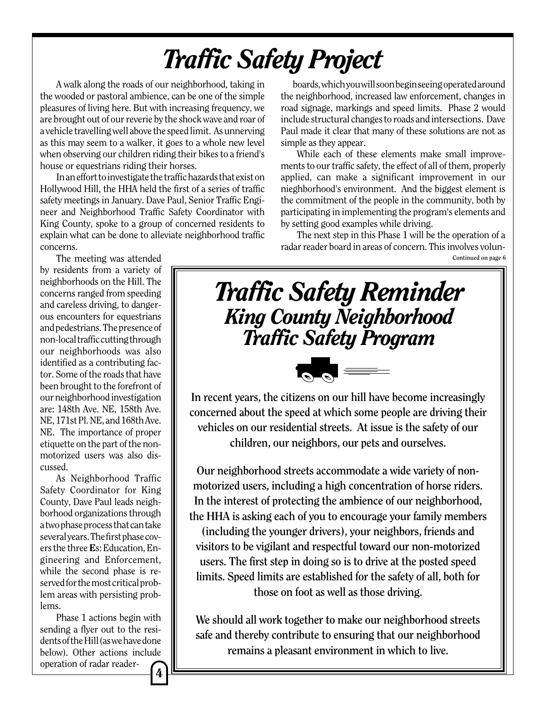# *Traffic Safety Project*

A walk along the roads of our neighborhood, taking in the wooded or pastoral ambience, can be one of the simple pleasures of living here. But with increasing frequency, we are brought out of our reverie by the shock wave and roar of a vehicle travelling well above the speed limit. As unnerving as this may seem to a walker, it goes to a whole new level when observing our children riding their bikes to a friend's house or equestrians riding their horses.

In an effort to investigate the traffic hazards that exist on Hollywood Hill, the HHA held the first of a series of traffic safety meetings in January. Dave Paul, Senior Traffic Engineer and Neighborhood Traffic Safety Coordinator with King County, spoke to a group of concerned residents to explain what can be done to alleviate neighborhood traffic concerns.

The meeting was attended by residents from a variety of neighborhoods on the Hill. The concerns ranged from speeding and careless driving, to dangerous encounters for equestrians and pedestrians. The presence of non-local traffic cutting through our neighborhoods was also identified as a contributing factor. Some of the roads that have been brought to the forefront of our neighborhood investigation are: 148th Ave. NE, 158th Ave. NE, 171st Pl. NE, and 168th Ave. NE. The importance of proper etiquette on the part of the nonmotorized users was also discussed.

As Neighborhood Traffic Safety Coordinator for King County, Dave Paul leads neighborhood organizations through a two phase process that can take several years. The first phase covers the three Es: Education, Engineering and Enforcement, while the second phase is reserved for the most critical problem areas with persisting problems.

Phase 1 actions begin with sending a flyer out to the residents of the Hill (as we have done below). Other actions include operation of radar reader-4

boards, which you will soon begin seeing operated around the neighborhood, increased law enforcement, changes in road signage, markings and speed limits. Phase 2 would include structural changes to roads and intersections. Dave Paul made it clear that many of these solutions are not as simple as they appear.

While each of these elements make small improvements to our traffic safety, the effect of all of them, properly applied, can make a significant improvement in our nieghborhood's environment. And the biggest element is the commitment of the people in the community, both by participating in implementing the program's elements and by setting good examples while driving.

The next step in this Phase 1 will be the operation of a radar reader board in areas of concern. This involves volun-**Continued on page 6**



**In recent years, the citizens on our hill have become increasingly concerned about the speed at which some people are driving their vehicles on our residential streets. At issue is the safety of our children, our neighbors, our pets and ourselves.**

**Our neighborhood streets accommodate a wide variety of nonmotorized users, including a high concentration of horse riders. In the interest of protecting the ambience of our neighborhood, the HHA is asking each of you to encourage your family members**

**(including the younger drivers), your neighbors, friends and visitors to be vigilant and respectful toward our non-motorized users. The first step in doing so is to drive at the posted speed limits. Speed limits are established for the safety of all, both for those on foot as well as those driving.**

**We should all work together to make our neighborhood streets safe and thereby contribute to ensuring that our neighborhood remains a pleasant environment in which to live.**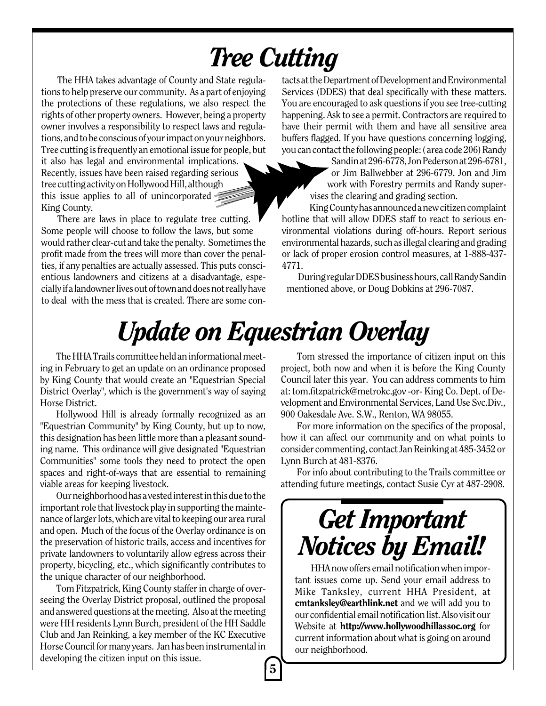# *Tree Cutting*

The HHA takes advantage of County and State regulations to help preserve our community. As a part of enjoying the protections of these regulations, we also respect the rights of other property owners. However, being a property owner involves a responsibility to respect laws and regulations, and to be conscious of your impact on your neighbors. Tree cutting is frequently an emotional issue for people, but it also has legal and environmental implications. Recently, issues have been raised regarding serious tree cutting activity on Hollywood Hill, although this issue applies to all of unincorporated King County.

There are laws in place to regulate tree cutting. Some people will choose to follow the laws, but some would rather clear-cut and take the penalty. Sometimes the profit made from the trees will more than cover the penalties, if any penalties are actually assessed. This puts conscientious landowners and citizens at a disadvantage, especially if a landowner lives out of town and does not really have to deal with the mess that is created. There are some contacts at the Department of Development and Environmental Services (DDES) that deal specifically with these matters. You are encouraged to ask questions if you see tree-cutting happening. Ask to see a permit. Contractors are required to have their permit with them and have all sensitive area buffers flagged. If you have questions concerning logging, you can contact the following people: ( area code 206) Randy

> Sandin at 296-6778, Jon Pederson at 296-6781, or Jim Ballwebber at 296-6779. Jon and Jim work with Forestry permits and Randy supervises the clearing and grading section.

King County has announced a new citizen complaint hotline that will allow DDES staff to react to serious environmental violations during off-hours. Report serious environmental hazards, such as illegal clearing and grading or lack of proper erosion control measures, at 1-888-437- 4771.

During regular DDES business hours, call Randy Sandin mentioned above, or Doug Dobkins at 296-7087.

# *Update on Equestrian Overlay*

The HHA Trails committee held an informational meeting in February to get an update on an ordinance proposed by King County that would create an "Equestrian Special District Overlay", which is the government's way of saying Horse District.

Hollywood Hill is already formally recognized as an "Equestrian Community" by King County, but up to now, this designation has been little more than a pleasant sounding name. This ordinance will give designated "Equestrian Communities" some tools they need to protect the open spaces and right-of-ways that are essential to remaining viable areas for keeping livestock.

Our neighborhood has a vested interest in this due to the important role that livestock play in supporting the maintenance of larger lots, which are vital to keeping our area rural and open. Much of the focus of the Overlay ordinance is on the preservation of historic trails, access and incentives for private landowners to voluntarily allow egress across their property, bicycling, etc., which significantly contributes to the unique character of our neighborhood.

Tom Fitzpatrick, King County staffer in charge of overseeing the Overlay District proposal, outlined the proposal and answered questions at the meeting. Also at the meeting were HH residents Lynn Burch, president of the HH Saddle Club and Jan Reinking, a key member of the KC Executive Horse Council for many years. Jan has been instrumental in developing the citizen input on this issue.

Tom stressed the importance of citizen input on this project, both now and when it is before the King County Council later this year. You can address comments to him at: tom.fitzpatrick@metrokc.gov -or- King Co. Dept. of Development and Environmental Services, Land Use Svc.Div., 900 Oakesdale Ave. S.W., Renton, WA 98055.

For more information on the specifics of the proposal, how it can affect our community and on what points to consider commenting, contact Jan Reinking at 485-3452 or Lynn Burch at 481-8376.

For info about contributing to the Trails committee or attending future meetings, contact Susie Cyr at 487-2908.

## *Get Important Notices by Email!*

HHA now offers email notification when important issues come up. Send your email address to Mike Tanksley, current HHA President, at cmtanksley@earthlink.net and we will add you to our confidential email notification list. Also visit our Website at http://www.hollywoodhillassoc.org for current information about what is going on around our neighborhood.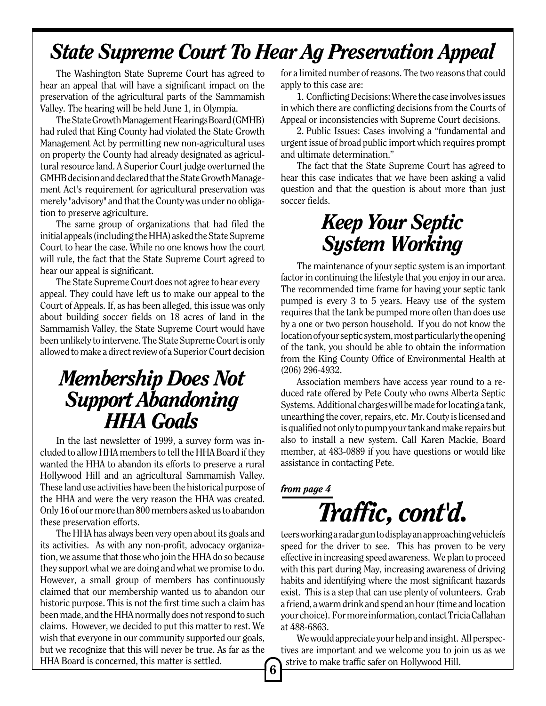## *State Supreme Court To Hear Ag Preservation Appeal*

The Washington State Supreme Court has agreed to hear an appeal that will have a significant impact on the preservation of the agricultural parts of the Sammamish Valley. The hearing will be held June 1, in Olympia.

The State Growth Management Hearings Board (GMHB) had ruled that King County had violated the State Growth Management Act by permitting new non-agricultural uses on property the County had already designated as agricultural resource land. A Superior Court judge overturned the GMHB decision and declared that the State Growth Management Act's requirement for agricultural preservation was merely "advisory" and that the County was under no obligation to preserve agriculture.

The same group of organizations that had filed the initial appeals (including the HHA) asked the State Supreme Court to hear the case. While no one knows how the court will rule, the fact that the State Supreme Court agreed to hear our appeal is significant.

The State Supreme Court does not agree to hear every appeal. They could have left us to make our appeal to the Court of Appeals. If, as has been alleged, this issue was only about building soccer fields on 18 acres of land in the Sammamish Valley, the State Supreme Court would have been unlikely to intervene. The State Supreme Court is only allowed to make a direct review of a Superior Court decision

## *Membership Does Not Support Abandoning HHA Goals*

In the last newsletter of 1999, a survey form was included to allow HHA members to tell the HHA Board if they wanted the HHA to abandon its efforts to preserve a rural Hollywood Hill and an agricultural Sammamish Valley. These land use activities have been the historical purpose of the HHA and were the very reason the HHA was created. Only 16 of our more than 800 members asked us to abandon these preservation efforts.

The HHA has always been very open about its goals and its activities. As with any non-profit, advocacy organization, we assume that those who join the HHA do so because they support what we are doing and what we promise to do. However, a small group of members has continuously claimed that our membership wanted us to abandon our historic purpose. This is not the first time such a claim has been made, and the HHA normally does not respond to such claims. However, we decided to put this matter to rest. We wish that everyone in our community supported our goals, but we recognize that this will never be true. As far as the HHA Board is concerned, this matter is settled.

for a limited number of reasons. The two reasons that could apply to this case are:

1. Conflicting Decisions: Where the case involves issues in which there are conflicting decisions from the Courts of Appeal or inconsistencies with Supreme Court decisions.

2. Public Issues: Cases involving a "fundamental and urgent issue of broad public import which requires prompt and ultimate determination."

The fact that the State Supreme Court has agreed to hear this case indicates that we have been asking a valid question and that the question is about more than just soccer fields.

## *Keep Your Septic System Working*

The maintenance of your septic system is an important factor in continuing the lifestyle that you enjoy in our area. The recommended time frame for having your septic tank pumped is every 3 to 5 years. Heavy use of the system requires that the tank be pumped more often than does use by a one or two person household. If you do not know the location of your septic system, most particularly the opening of the tank, you should be able to obtain the information from the King County Office of Environmental Health at (206) 296-4932.

Association members have access year round to a reduced rate offered by Pete Couty who owns Alberta Septic Systems. Additional charges will be made for locating a tank, unearthing the cover, repairs, etc. Mr. Couty is licensed and is qualified not only to pump your tank and make repairs but also to install a new system. Call Karen Mackie, Board member, at 483-0889 if you have questions or would like assistance in contacting Pete.

## *Traffic, cont'd. from page 4*

teers working a radar gun to display an approaching vehicleís speed for the driver to see. This has proven to be very effective in increasing speed awareness. We plan to proceed with this part during May, increasing awareness of driving habits and identifying where the most significant hazards exist. This is a step that can use plenty of volunteers. Grab a friend, a warm drink and spend an hour (time and location your choice). For more information, contact Tricia Callahan at 488-6863.

We would appreciate your help and insight. All perspectives are important and we welcome you to join us as we strive to make traffic safer on Hollywood Hill.

6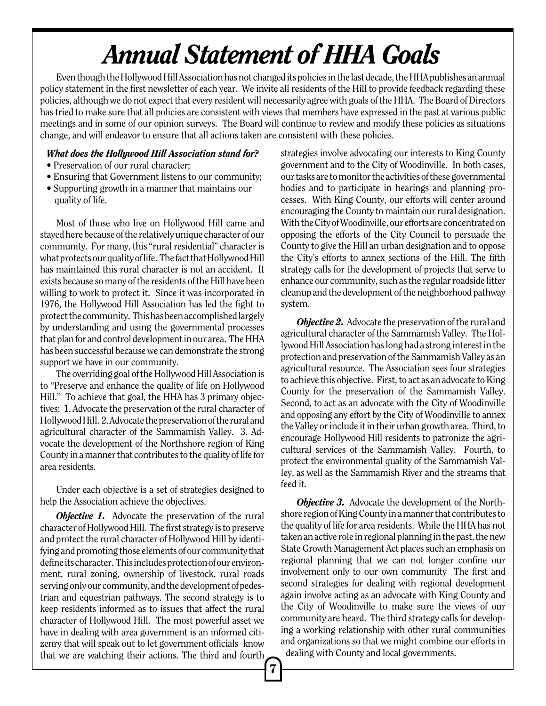# *Annual Statement of HHA Goals*

Even though the Hollywood Hill Association has not changed its policies in the last decade, the HHA publishes an annual policy statement in the first newsletter of each year. We invite all residents of the Hill to provide feedback regarding these policies, although we do not expect that every resident will necessarily agree with goals of the HHA. The Board of Directors has tried to make sure that all policies are consistent with views that members have expressed in the past at various public meetings and in some of our opinion surveys. The Board will continue to review and modify these policies as situations change, and will endeavor to ensure that all actions taken are consistent with these policies.

### *What does the Hollywood Hill Association stand for?*

- Preservation of our rural character;
- Ensuring that Government listens to our community;
- Supporting growth in a manner that maintains our quality of life.

Most of those who live on Hollywood Hill came and stayed here because of the relatively unique character of our community. For many, this "rural residential" character is what protects our quality of life. The fact that Hollywood Hill has maintained this rural character is not an accident. It exists because so many of the residents of the Hill have been willing to work to protect it. Since it was incorporated in 1976, the Hollywood Hill Association has led the fight to protect the community. This has been accomplished largely by understanding and using the governmental processes that plan for and control development in our area. The HHA has been successful because we can demonstrate the strong support we have in our community.

The overriding goal of the Hollywood Hill Association is to "Preserve and enhance the quality of life on Hollywood Hill." To achieve that goal, the HHA has 3 primary objectives: 1. Advocate the preservation of the rural character of Hollywood Hill. 2. Advocate the preservation of the rural and agricultural character of the Sammamish Valley. 3. Advocate the development of the Northshore region of King County in a manner that contributes to the quality of life for area residents.

Under each objective is a set of strategies designed to help the Association achieve the objectives.

*Objective 1.* Advocate the preservation of the rural character of Hollywood Hill. The first strategy is to preserve and protect the rural character of Hollywood Hill by identifying and promoting those elements of our community that define its character. This includes protection of our environment, rural zoning, ownership of livestock, rural roads serving only our community, and the development of pedestrian and equestrian pathways. The second strategy is to keep residents informed as to issues that affect the rural character of Hollywood Hill. The most powerful asset we have in dealing with area government is an informed citizenry that will speak out to let government officials know that we are watching their actions. The third and fourth

strategies involve advocating our interests to King County government and to the City of Woodinville. In both cases, our tasks are to monitor the activities of these governmental bodies and to participate in hearings and planning processes. With King County, our efforts will center around encouraging the County to maintain our rural designation. With the City of Woodinville, our efforts are concentrated on opposing the efforts of the City Council to persuade the County to give the Hill an urban designation and to oppose the City's efforts to annex sections of the Hill. The fifth strategy calls for the development of projects that serve to enhance our community, such as the regular roadside litter cleanup and the development of the neighborhood pathway system.

*Objective 2.* Advocate the preservation of the rural and agricultural character of the Sammamish Valley. The Hollywood Hill Association has long had a strong interest in the protection and preservation of the Sammamish Valley as an agricultural resource. The Association sees four strategies to achieve this objective. First, to act as an advocate to King County for the preservation of the Sammamish Valley. Second, to act as an advocate with the City of Woodinville and opposing any effort by the City of Woodinville to annex the Valley or include it in their urban growth area. Third, to encourage Hollywood Hill residents to patronize the agricultural services of the Sammamish Valley. Fourth, to protect the environmental quality of the Sammamish Valley, as well as the Sammamish River and the streams that feed it.

*Objective 3.* Advocate the development of the Northshore region of King County in a manner that contributes to the quality of life for area residents. While the HHA has not taken an active role in regional planning in the past, the new State Growth Management Act places such an emphasis on regional planning that we can not longer confine our involvement only to our own community The first and second strategies for dealing with regional development again involve acting as an advocate with King County and the City of Woodinville to make sure the views of our community are heard. The third strategy calls for developing a working relationship with other rural communities and organizations so that we might combine our efforts in dealing with County and local governments.